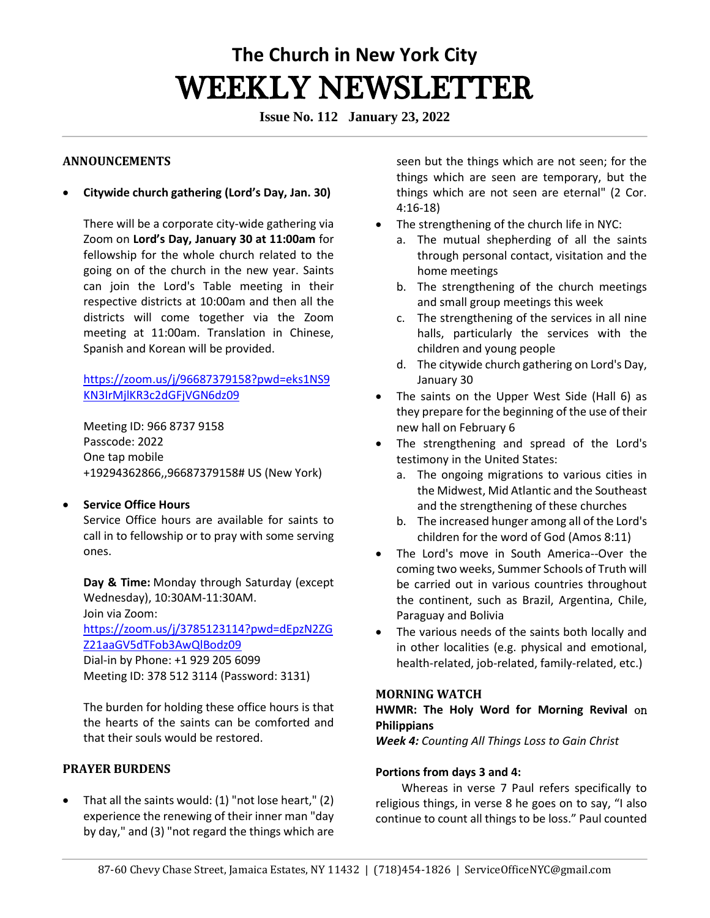# **The Church in New York City** WEEKLY NEWSLETTER

**Issue No. 112 January 23, 2022**

#### **ANNOUNCEMENTS**

• **Citywide church gathering (Lord's Day, Jan. 30)**

There will be a corporate city-wide gathering via Zoom on **Lord's Day, January 30 at 11:00am** for fellowship for the whole church related to the going on of the church in the new year. Saints can join the Lord's Table meeting in their respective districts at 10:00am and then all the districts will come together via the Zoom meeting at 11:00am. Translation in Chinese, Spanish and Korean will be provided.

[https://zoom.us/j/96687379158?pwd=eks1NS9](https://zoom.us/j/96687379158?pwd=eks1NS9KN3IrMjlKR3c2dGFjVGN6dz09) [KN3IrMjlKR3c2dGFjVGN6dz09](https://zoom.us/j/96687379158?pwd=eks1NS9KN3IrMjlKR3c2dGFjVGN6dz09)

Meeting ID: 966 8737 9158 Passcode: 2022 One tap mobile +19294362866,,96687379158# US (New York)

## • **Service Office Hours**

Service Office hours are available for saints to call in to fellowship or to pray with some serving ones. 

**Day & Time:** Monday through Saturday (except Wednesday), 10:30AM-11:30AM.   Join via Zoom:   [https://zoom.us/j/3785123114?pwd=dEpzN2ZG](https://zoom.us/j/3785123114?pwd=dEpzN2ZGZ21aaGV5dTFob3AwQlBodz09) [Z21aaGV5dTFob3AwQlBodz09](https://zoom.us/j/3785123114?pwd=dEpzN2ZGZ21aaGV5dTFob3AwQlBodz09) Dial-in by Phone: +1 929 205 6099 

Meeting ID: 378 512 3114 (Password: 3131) 

The burden for holding these office hours is that the hearts of the saints can be comforted and that their souls would be restored. 

#### **PRAYER BURDENS**

• That all the saints would: (1) "not lose heart," (2) experience the renewing of their inner man "day by day," and (3) "not regard the things which are

seen but the things which are not seen; for the things which are seen are temporary, but the things which are not seen are eternal" (2 Cor. 4:16-18)

- The strengthening of the church life in NYC:
	- a. The mutual shepherding of all the saints through personal contact, visitation and the home meetings
	- b. The strengthening of the church meetings and small group meetings this week
	- c. The strengthening of the services in all nine halls, particularly the services with the children and young people
	- d. The citywide church gathering on Lord's Day, January 30
- The saints on the Upper West Side (Hall 6) as they prepare for the beginning of the use of their new hall on February 6
- The strengthening and spread of the Lord's testimony in the United States:
	- a. The ongoing migrations to various cities in the Midwest, Mid Atlantic and the Southeast and the strengthening of these churches
	- b. The increased hunger among all of the Lord's children for the word of God (Amos 8:11)
- The Lord's move in South America--Over the coming two weeks, Summer Schools of Truth will be carried out in various countries throughout the continent, such as Brazil, Argentina, Chile, Paraguay and Bolivia
- The various needs of the saints both locally and in other localities (e.g. physical and emotional, health-related, job-related, family-related, etc.)

#### **MORNING WATCH**

## **HWMR: The Holy Word for Morning Revival** on **Philippians**

*Week 4: Counting All Things Loss to Gain Christ*

## **Portions from days 3 and 4:**

Whereas in verse 7 Paul refers specifically to religious things, in verse 8 he goes on to say, "I also continue to count all things to be loss." Paul counted